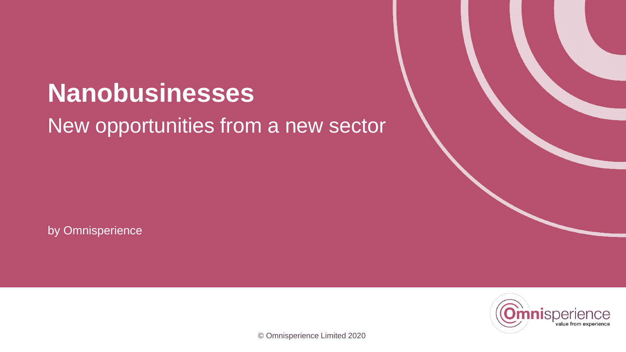### **Nanobusinesses** New opportunities from a new sector

by Omnisperience

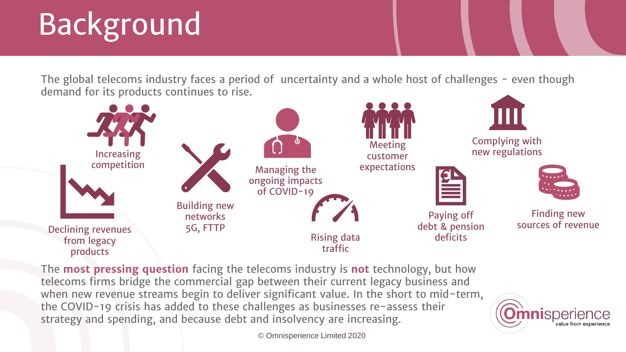# Background

The global telecoms industry faces a period of uncertainty and a whole host of challenges - even though demand for its products continues to rise.



The **most pressing question** facing the telecoms industry is **not** technology, but how telecoms firms bridge the commercial gap between their current legacy business and when new revenue streams begin to deliver significant value. In the short to mid-term, the COVID-19 crisis has added to these challenges as businesses re-assess their strategy and spending, and because debt and insolvency are increasing.

© Omnisperience Limited 2020

nisperience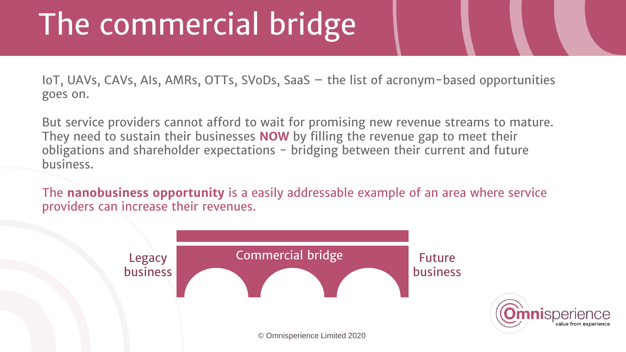## The commercial bridge

IoT, UAVs, CAVs, AIs, AMRs, OTTs, SVoDs, SaaS – the list of acronym-based opportunities goes on.

But service providers cannot afford to wait for promising new revenue streams to mature. They need to sustain their businesses **NOW** by filling the revenue gap to meet their obligations and shareholder expectations - bridging between their current and future business.

The **nanobusiness opportunity** is a easily addressable example of an area where service providers can increase their revenues.

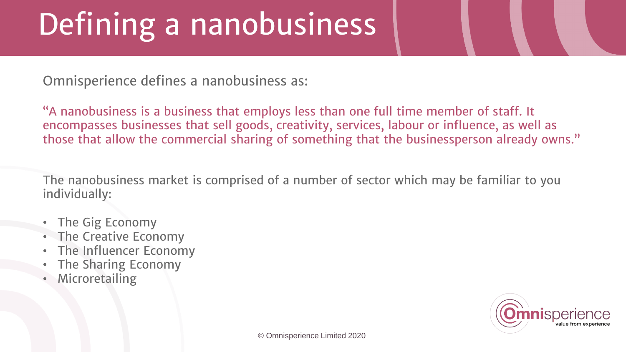# Defining a nanobusiness

Omnisperience defines a nanobusiness as:

"A nanobusiness is a business that employs less than one full time member of staff. It encompasses businesses that sell goods, creativity, services, labour or influence, as well as those that allow the commercial sharing of something that the businessperson already owns."

The nanobusiness market is comprised of a number of sector which may be familiar to you individually:

- The Gig Economy
- The Creative Economy
- The Influencer Economy
- The Sharing Economy
- **Microretailing**

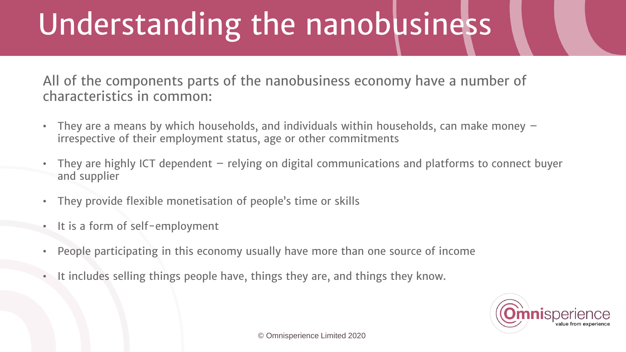# Understanding the nanobusiness

All of the components parts of the nanobusiness economy have a number of characteristics in common:

- They are a means by which households, and individuals within households, can make money irrespective of their employment status, age or other commitments
- They are highly ICT dependent relying on digital communications and platforms to connect buyer and supplier
- They provide flexible monetisation of people's time or skills
- It is a form of self-employment
- People participating in this economy usually have more than one source of income
- It includes selling things people have, things they are, and things they know.

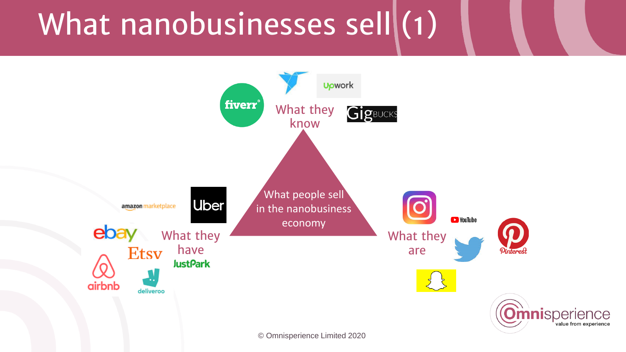## What nanobusinesses sell $(1)$

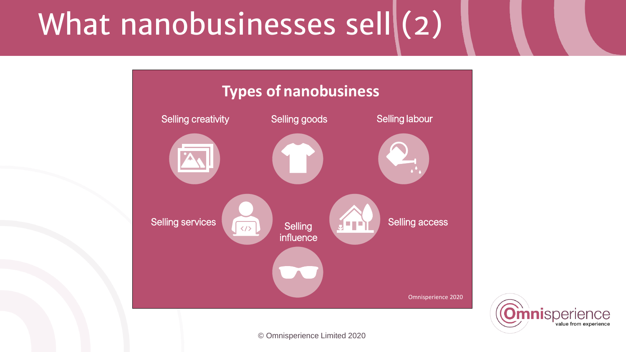## What nanobusinesses sell $(2)$



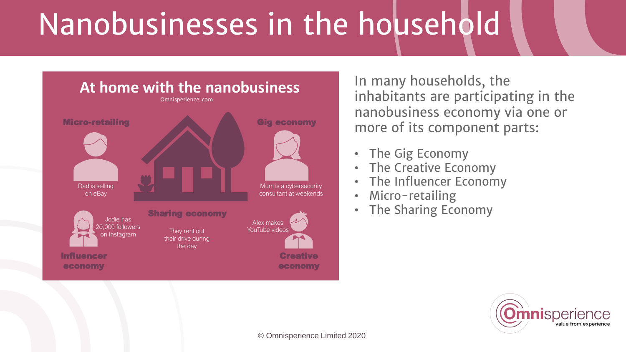# Nanobusinesses in the household



In many households, the inhabitants are participating in the nanobusiness economy via one or more of its component parts:

- The Gig Economy
- The Creative Economy
- The Influencer Economy
- Micro-retailing
- The Sharing Economy

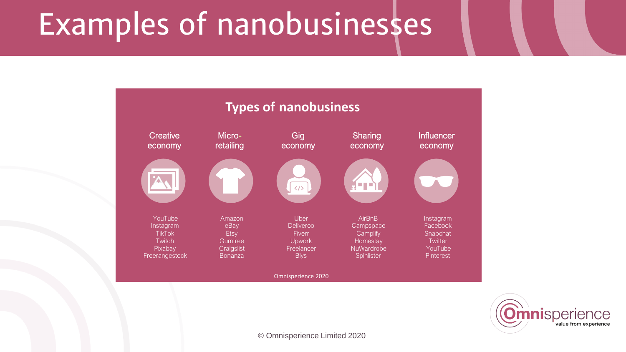## Examples of nanobusinesses



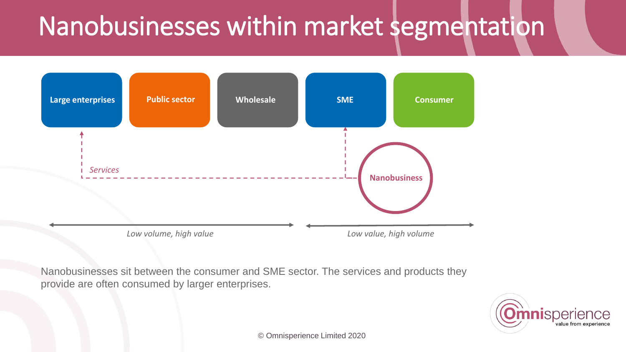### Nanobusinesses within market segmentation



Nanobusinesses sit between the consumer and SME sector. The services and products they provide are often consumed by larger enterprises.

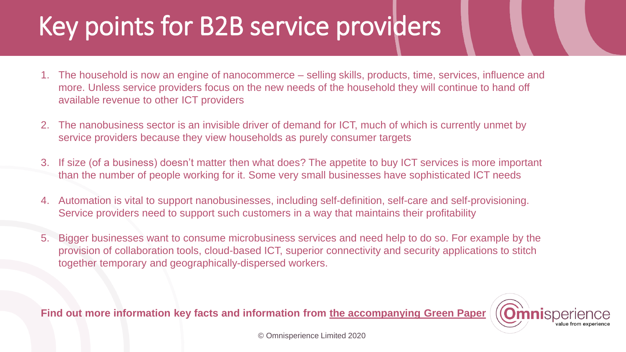### Key points for B2B service providers

- 1. The household is now an engine of nanocommerce selling skills, products, time, services, influence and more. Unless service providers focus on the new needs of the household they will continue to hand off available revenue to other ICT providers
- 2. The nanobusiness sector is an invisible driver of demand for ICT, much of which is currently unmet by service providers because they view households as purely consumer targets
- 3. If size (of a business) doesn't matter then what does? The appetite to buy ICT services is more important than the number of people working for it. Some very small businesses have sophisticated ICT needs
- 4. Automation is vital to support nanobusinesses, including self-definition, self-care and self-provisioning. Service providers need to support such customers in a way that maintains their profitability
- 5. Bigger businesses want to consume microbusiness services and need help to do so. For example by the provision of collaboration tools, cloud-based ICT, superior connectivity and security applications to stitch together temporary and geographically-dispersed workers.

**Find out more information key facts and information from the [accompanying](https://omnisperience.com/2020/02/26/is-your-business-ready-to-support-the-rise-and-rise-of-the-nanobusiness/) Green Paper**